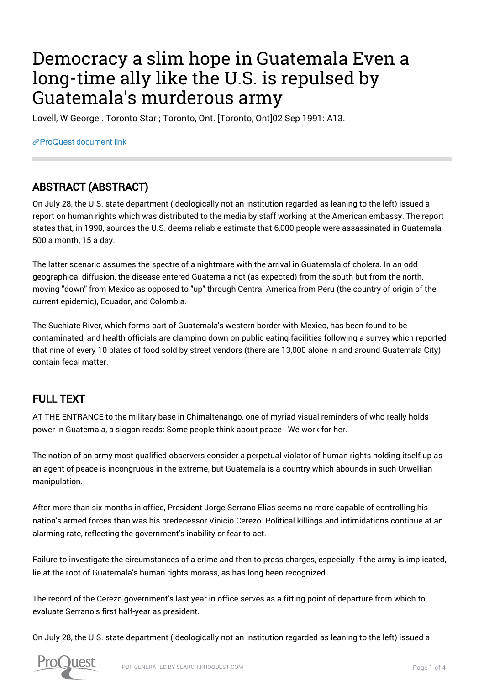# Democracy a slim hope in Guatemala Even a long-time ally like the U.S. is repulsed by Guatemala's murderous army

Lovell, W George . Toronto Star ; Toronto, Ont. [Toronto, Ont]02 Sep 1991: A13.

[ProQuest document link](https://proxy.queensu.ca/login?url=https://search.proquest.com/docview/436488224?accountid=6180)

### ABSTRACT (ABSTRACT)

On July 28, the U.S. state department (ideologically not an institution regarded as leaning to the left) issued a report on human rights which was distributed to the media by staff working at the American embassy. The report states that, in 1990, sources the U.S. deems reliable estimate that 6,000 people were assassinated in Guatemala, 500 a month, 15 a day.

The latter scenario assumes the spectre of a nightmare with the arrival in Guatemala of cholera. In an odd geographical diffusion, the disease entered Guatemala not (as expected) from the south but from the north, moving "down" from Mexico as opposed to "up" through Central America from Peru (the country of origin of the current epidemic), Ecuador, and Colombia.

The Suchiate River, which forms part of Guatemala's western border with Mexico, has been found to be contaminated, and health officials are clamping down on public eating facilities following a survey which reported that nine of every 10 plates of food sold by street vendors (there are 13,000 alone in and around Guatemala City) contain fecal matter.

### FULL TEXT

AT THE ENTRANCE to the military base in Chimaltenango, one of myriad visual reminders of who really holds power in Guatemala, a slogan reads: Some people think about peace - We work for her.

The notion of an army most qualified observers consider a perpetual violator of human rights holding itself up as an agent of peace is incongruous in the extreme, but Guatemala is a country which abounds in such Orwellian manipulation.

After more than six months in office, President Jorge Serrano Elias seems no more capable of controlling his nation's armed forces than was his predecessor Vinicio Cerezo. Political killings and intimidations continue at an alarming rate, reflecting the government's inability or fear to act.

Failure to investigate the circumstances of a crime and then to press charges, especially if the army is implicated, lie at the root of Guatemala's human rights morass, as has long been recognized.

The record of the Cerezo government's last year in office serves as a fitting point of departure from which to evaluate Serrano's first half-year as president.

On July 28, the U.S. state department (ideologically not an institution regarded as leaning to the left) issued a

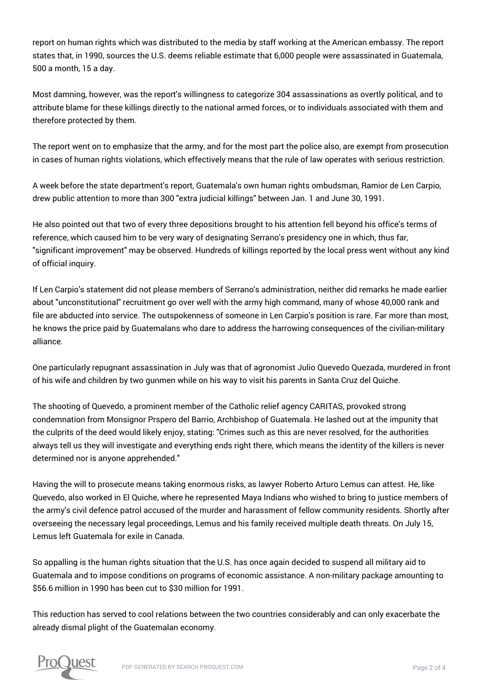report on human rights which was distributed to the media by staff working at the American embassy. The report states that, in 1990, sources the U.S. deems reliable estimate that 6,000 people were assassinated in Guatemala, 500 a month, 15 a day.

Most damning, however, was the report's willingness to categorize 304 assassinations as overtly political, and to attribute blame for these killings directly to the national armed forces, or to individuals associated with them and therefore protected by them.

The report went on to emphasize that the army, and for the most part the police also, are exempt from prosecution in cases of human rights violations, which effectively means that the rule of law operates with serious restriction.

A week before the state department's report, Guatemala's own human rights ombudsman, Ramior de Len Carpio, drew public attention to more than 300 "extra judicial killings" between Jan. 1 and June 30, 1991.

He also pointed out that two of every three depositions brought to his attention fell beyond his office's terms of reference, which caused him to be very wary of designating Serrano's presidency one in which, thus far, "significant improvement" may be observed. Hundreds of killings reported by the local press went without any kind of official inquiry.

If Len Carpio's statement did not please members of Serrano's administration, neither did remarks he made earlier about "unconstitutional" recruitment go over well with the army high command, many of whose 40,000 rank and file are abducted into service. The outspokenness of someone in Len Carpio's position is rare. Far more than most, he knows the price paid by Guatemalans who dare to address the harrowing consequences of the civilian-military alliance.

One particularly repugnant assassination in July was that of agronomist Julio Quevedo Quezada, murdered in front of his wife and children by two gunmen while on his way to visit his parents in Santa Cruz del Quiche.

The shooting of Quevedo, a prominent member of the Catholic relief agency CARITAS, provoked strong condemnation from Monsignor Prspero del Barrio, Archbishop of Guatemala. He lashed out at the impunity that the culprits of the deed would likely enjoy, stating: "Crimes such as this are never resolved, for the authorities always tell us they will investigate and everything ends right there, which means the identity of the killers is never determined nor is anyone apprehended."

Having the will to prosecute means taking enormous risks, as lawyer Roberto Arturo Lemus can attest. He, like Quevedo, also worked in El Quiche, where he represented Maya Indians who wished to bring to justice members of the army's civil defence patrol accused of the murder and harassment of fellow community residents. Shortly after overseeing the necessary legal proceedings, Lemus and his family received multiple death threats. On July 15, Lemus left Guatemala for exile in Canada.

So appalling is the human rights situation that the U.S. has once again decided to suspend all military aid to Guatemala and to impose conditions on programs of economic assistance. A non-military package amounting to \$56.6 million in 1990 has been cut to \$30 million for 1991.

This reduction has served to cool relations between the two countries considerably and can only exacerbate the already dismal plight of the Guatemalan economy.

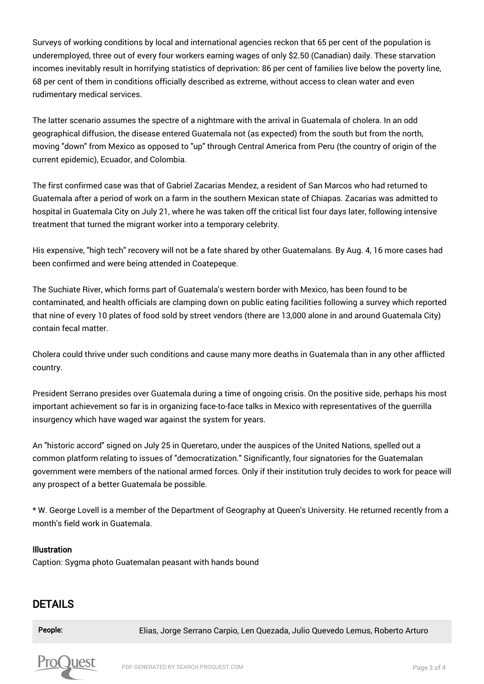Surveys of working conditions by local and international agencies reckon that 65 per cent of the population is underemployed, three out of every four workers earning wages of only \$2.50 (Canadian) daily. These starvation incomes inevitably result in horrifying statistics of deprivation: 86 per cent of families live below the poverty line, 68 per cent of them in conditions officially described as extreme, without access to clean water and even rudimentary medical services.

The latter scenario assumes the spectre of a nightmare with the arrival in Guatemala of cholera. In an odd geographical diffusion, the disease entered Guatemala not (as expected) from the south but from the north, moving "down" from Mexico as opposed to "up" through Central America from Peru (the country of origin of the current epidemic), Ecuador, and Colombia.

The first confirmed case was that of Gabriel Zacarias Mendez, a resident of San Marcos who had returned to Guatemala after a period of work on a farm in the southern Mexican state of Chiapas. Zacarias was admitted to hospital in Guatemala City on July 21, where he was taken off the critical list four days later, following intensive treatment that turned the migrant worker into a temporary celebrity.

His expensive, "high tech" recovery will not be a fate shared by other Guatemalans. By Aug. 4, 16 more cases had been confirmed and were being attended in Coatepeque.

The Suchiate River, which forms part of Guatemala's western border with Mexico, has been found to be contaminated, and health officials are clamping down on public eating facilities following a survey which reported that nine of every 10 plates of food sold by street vendors (there are 13,000 alone in and around Guatemala City) contain fecal matter.

Cholera could thrive under such conditions and cause many more deaths in Guatemala than in any other afflicted country.

President Serrano presides over Guatemala during a time of ongoing crisis. On the positive side, perhaps his most important achievement so far is in organizing face-to-face talks in Mexico with representatives of the guerrilla insurgency which have waged war against the system for years.

An "historic accord" signed on July 25 in Queretaro, under the auspices of the United Nations, spelled out a common platform relating to issues of "democratization." Significantly, four signatories for the Guatemalan government were members of the national armed forces. Only if their institution truly decides to work for peace will any prospect of a better Guatemala be possible.

\* W. George Lovell is a member of the Department of Geography at Queen's University. He returned recently from a month's field work in Guatemala.

#### Illustration

Caption: Sygma photo Guatemalan peasant with hands bound

### DETAILS

People: Elias, Jorge Serrano Carpio, Len Quezada, Julio Quevedo Lemus, Roberto Arturo